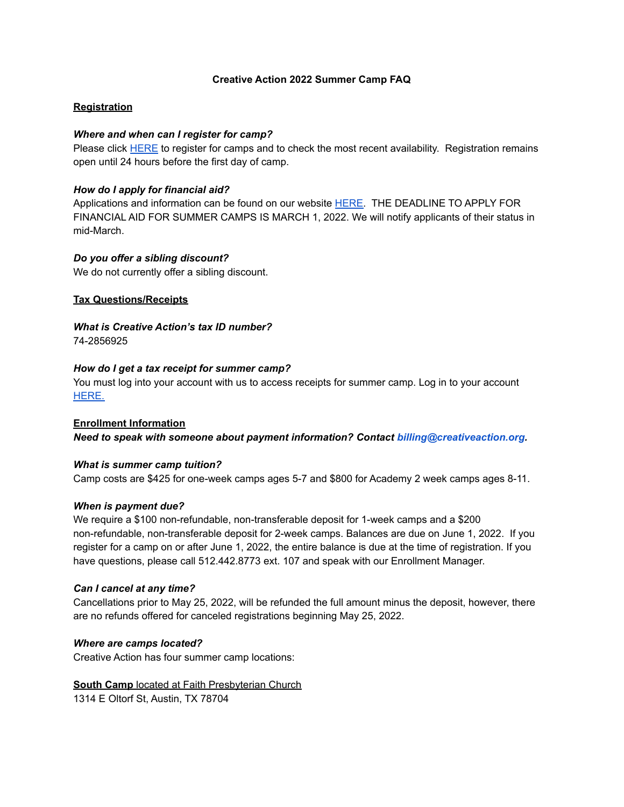## **Creative Action 2022 Summer Camp FAQ**

# **Registration**

## *Where and when can I register for camp?*

Please click [HERE](https://creativeaction.org/programs/after-school-and-camps/summer-camps/) to register for camps and to check the most recent availability. Registration remains open until 24 hours before the first day of camp.

## *How do I apply for financial aid?*

Applications and information can be found on our website [HERE.](https://creativeaction.org/programs/financial-aid/) THE DEADLINE TO APPLY FOR FINANCIAL AID FOR SUMMER CAMPS IS MARCH 1, 2022. We will notify applicants of their status in mid-March.

## *Do you offer a sibling discount?*

We do not currently offer a sibling discount.

## **Tax Questions/Receipts**

*What is Creative Action's tax ID number?* 74-2856925

### *How do I get a tax receipt for summer camp?*

You must log into your account with us to access receipts for summer camp. Log in to your account [HERE.](https://campsself.active.com/CreativeAction?_ga=2.156181881.370253578.1547046910-1232031984.1533658401)

**Enrollment Information** *Need to speak with someone about payment information? Contact [billing@creativeaction.org.](mailto:billing@creativeaction.org)*

### *What is summer camp tuition?*

Camp costs are \$425 for one-week camps ages 5-7 and \$800 for Academy 2 week camps ages 8-11.

### *When is payment due?*

We require a \$100 non-refundable, non-transferable deposit for 1-week camps and a \$200 non-refundable, non-transferable deposit for 2-week camps. Balances are due on June 1, 2022. If you register for a camp on or after June 1, 2022, the entire balance is due at the time of registration. If you have questions, please call 512.442.8773 ext. 107 and speak with our Enrollment Manager.

### *Can I cancel at any time?*

Cancellations prior to May 25, 2022, will be refunded the full amount minus the deposit, however, there are no refunds offered for canceled registrations beginning May 25, 2022.

### *Where are camps located?*

Creative Action has four summer camp locations:

### **South Camp** located at Faith Presbyterian Church

1314 E Oltorf St, Austin, TX 78704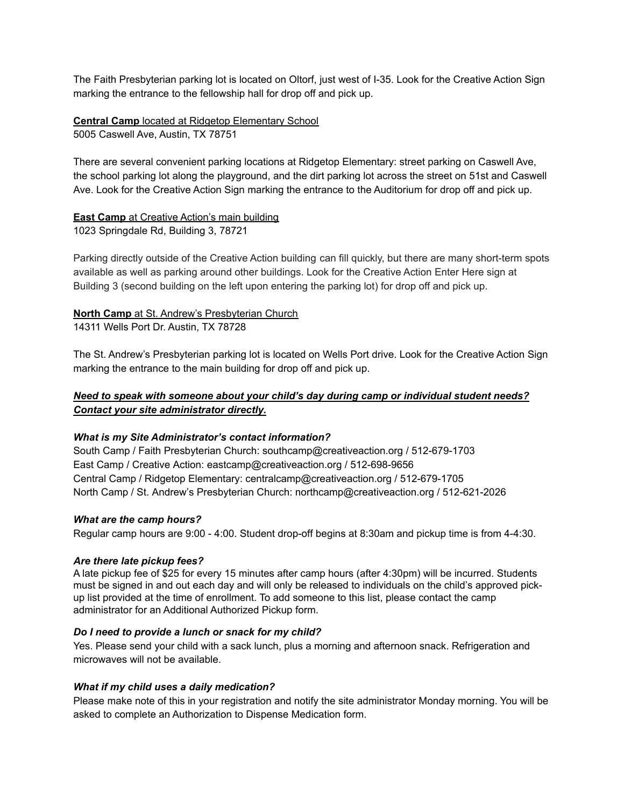The Faith Presbyterian parking lot is located on Oltorf, just west of I-35. Look for the Creative Action Sign marking the entrance to the fellowship hall for drop off and pick up.

**Central Camp** located at Ridgetop Elementary School 5005 Caswell Ave, Austin, TX 78751

There are several convenient parking locations at Ridgetop Elementary: street parking on Caswell Ave, the school parking lot along the playground, and the dirt parking lot across the street on 51st and Caswell Ave. Look for the Creative Action Sign marking the entrance to the Auditorium for drop off and pick up.

# **East Camp** at Creative Action's main building

1023 Springdale Rd, Building 3, 78721

Parking directly outside of the Creative Action building can fill quickly, but there are many short-term spots available as well as parking around other buildings. Look for the Creative Action Enter Here sign at Building 3 (second building on the left upon entering the parking lot) for drop off and pick up.

# **North Camp** at St. Andrew's Presbyterian Church

14311 Wells Port Dr. Austin, TX 78728

The St. Andrew's Presbyterian parking lot is located on Wells Port drive. Look for the Creative Action Sign marking the entrance to the main building for drop off and pick up.

# *Need to speak with someone about your child's day during camp or individual student needs? Contact your site administrator directly.*

# *What is my Site Administrator's contact information?*

South Camp / Faith Presbyterian Church: southcamp@creativeaction.org / 512-679-1703 East Camp / Creative Action: eastcamp@creativeaction.org / 512-698-9656 Central Camp / Ridgetop Elementary: centralcamp@creativeaction.org / 512-679-1705 North Camp / St. Andrew's Presbyterian Church: northcamp@creativeaction.org / 512-621-2026

# *What are the camp hours?*

Regular camp hours are 9:00 - 4:00. Student drop-off begins at 8:30am and pickup time is from 4-4:30.

# *Are there late pickup fees?*

A late pickup fee of \$25 for every 15 minutes after camp hours (after 4:30pm) will be incurred. Students must be signed in and out each day and will only be released to individuals on the child's approved pickup list provided at the time of enrollment. To add someone to this list, please contact the camp administrator for an Additional Authorized Pickup form.

# *Do I need to provide a lunch or snack for my child?*

Yes. Please send your child with a sack lunch, plus a morning and afternoon snack. Refrigeration and microwaves will not be available.

# *What if my child uses a daily medication?*

Please make note of this in your registration and notify the site administrator Monday morning. You will be asked to complete an Authorization to Dispense Medication form.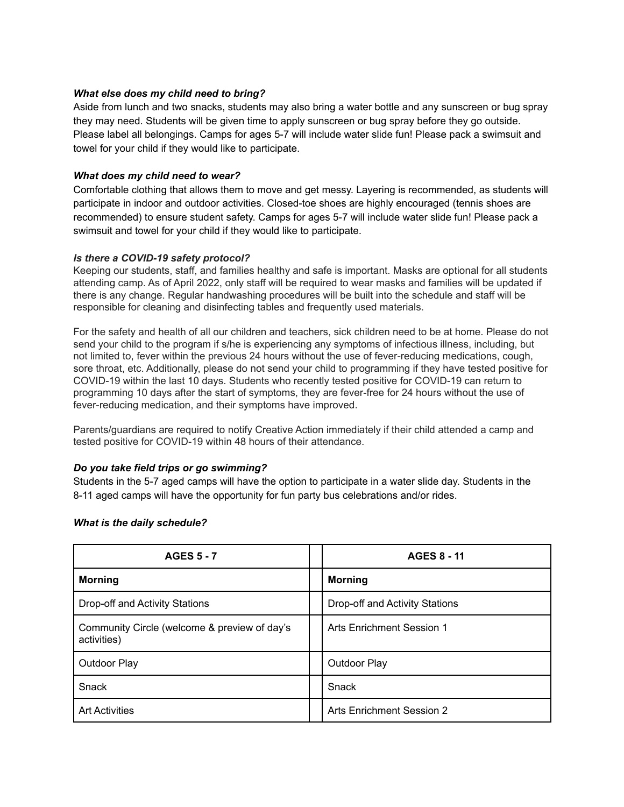## *What else does my child need to bring?*

Aside from lunch and two snacks, students may also bring a water bottle and any sunscreen or bug spray they may need. Students will be given time to apply sunscreen or bug spray before they go outside. Please label all belongings. Camps for ages 5-7 will include water slide fun! Please pack a swimsuit and towel for your child if they would like to participate.

## *What does my child need to wear?*

Comfortable clothing that allows them to move and get messy. Layering is recommended, as students will participate in indoor and outdoor activities. Closed-toe shoes are highly encouraged (tennis shoes are recommended) to ensure student safety. Camps for ages 5-7 will include water slide fun! Please pack a swimsuit and towel for your child if they would like to participate.

## *Is there a COVID-19 safety protocol?*

Keeping our students, staff, and families healthy and safe is important. Masks are optional for all students attending camp. As of April 2022, only staff will be required to wear masks and families will be updated if there is any change. Regular handwashing procedures will be built into the schedule and staff will be responsible for cleaning and disinfecting tables and frequently used materials.

For the safety and health of all our children and teachers, sick children need to be at home. Please do not send your child to the program if s/he is experiencing any symptoms of infectious illness, including, but not limited to, fever within the previous 24 hours without the use of fever-reducing medications, cough, sore throat, etc. Additionally, please do not send your child to programming if they have tested positive for COVID-19 within the last 10 days. Students who recently tested positive for COVID-19 can return to programming 10 days after the start of symptoms, they are fever-free for 24 hours without the use of fever-reducing medication, and their symptoms have improved.

Parents/guardians are required to notify Creative Action immediately if their child attended a camp and tested positive for COVID-19 within 48 hours of their attendance.

### *Do you take field trips or go swimming?*

Students in the 5-7 aged camps will have the option to participate in a water slide day. Students in the 8-11 aged camps will have the opportunity for fun party bus celebrations and/or rides.

| <b>AGES 5 - 7</b>                                           | <b>AGES 8 - 11</b>               |
|-------------------------------------------------------------|----------------------------------|
| <b>Morning</b>                                              | <b>Morning</b>                   |
| Drop-off and Activity Stations                              | Drop-off and Activity Stations   |
| Community Circle (welcome & preview of day's<br>activities) | Arts Enrichment Session 1        |
| <b>Outdoor Play</b>                                         | Outdoor Play                     |
| Snack                                                       | Snack                            |
| <b>Art Activities</b>                                       | <b>Arts Enrichment Session 2</b> |

### *What is the daily schedule?*